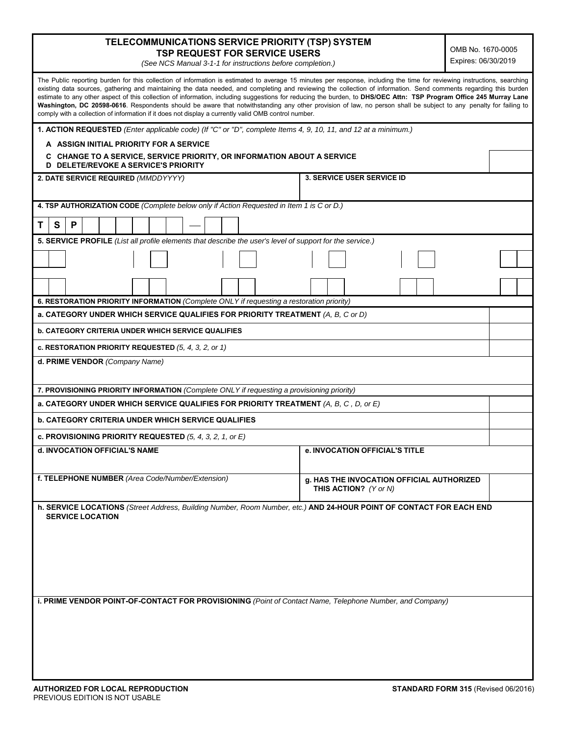| TELECOMMUNICATIONS SERVICE PRIORITY (TSP) SYSTEM |  |
|--------------------------------------------------|--|
| <b>TSP REQUEST FOR SERVICE USERS</b>             |  |

 OMB No. 1670-0005 Expires: 06/30/2019

*(See NCS Manual 3-1-1 for instructions before completion.)* 

| The Public reporting burden for this collection of information is estimated to average 15 minutes per response, including the time for reviewing instructions, searching<br>existing data sources, gathering and maintaining the data needed, and completing and reviewing the collection of information. Send comments regarding this burden<br>estimate to any other aspect of this collection of information, including suggestions for reducing the burden, to DHS/OEC Attn: TSP Program Office 245 Murray Lane<br>Washington, DC 20598-0616. Respondents should be aware that notwithstanding any other provision of law, no person shall be subject to any penalty for failing to<br>comply with a collection of information if it does not display a currently valid OMB control number. |                                                                                  |  |
|-------------------------------------------------------------------------------------------------------------------------------------------------------------------------------------------------------------------------------------------------------------------------------------------------------------------------------------------------------------------------------------------------------------------------------------------------------------------------------------------------------------------------------------------------------------------------------------------------------------------------------------------------------------------------------------------------------------------------------------------------------------------------------------------------|----------------------------------------------------------------------------------|--|
| 1. ACTION REQUESTED (Enter applicable code) (If "C" or "D", complete Items 4, 9, 10, 11, and 12 at a minimum.)                                                                                                                                                                                                                                                                                                                                                                                                                                                                                                                                                                                                                                                                                  |                                                                                  |  |
| A ASSIGN INITIAL PRIORITY FOR A SERVICE                                                                                                                                                                                                                                                                                                                                                                                                                                                                                                                                                                                                                                                                                                                                                         |                                                                                  |  |
| <b>CHANGE TO A SERVICE, SERVICE PRIORITY, OR INFORMATION ABOUT A SERVICE</b><br>C.<br>D DELETE/REVOKE A SERVICE'S PRIORITY                                                                                                                                                                                                                                                                                                                                                                                                                                                                                                                                                                                                                                                                      |                                                                                  |  |
| 2. DATE SERVICE REQUIRED (MMDDYYYY)                                                                                                                                                                                                                                                                                                                                                                                                                                                                                                                                                                                                                                                                                                                                                             | <b>3. SERVICE USER SERVICE ID</b>                                                |  |
| 4. TSP AUTHORIZATION CODE (Complete below only if Action Requested in Item 1 is C or D.)                                                                                                                                                                                                                                                                                                                                                                                                                                                                                                                                                                                                                                                                                                        |                                                                                  |  |
| P<br>S<br>Τ                                                                                                                                                                                                                                                                                                                                                                                                                                                                                                                                                                                                                                                                                                                                                                                     |                                                                                  |  |
| 5. SERVICE PROFILE (List all profile elements that describe the user's level of support for the service.)                                                                                                                                                                                                                                                                                                                                                                                                                                                                                                                                                                                                                                                                                       |                                                                                  |  |
|                                                                                                                                                                                                                                                                                                                                                                                                                                                                                                                                                                                                                                                                                                                                                                                                 |                                                                                  |  |
|                                                                                                                                                                                                                                                                                                                                                                                                                                                                                                                                                                                                                                                                                                                                                                                                 |                                                                                  |  |
| 6. RESTORATION PRIORITY INFORMATION (Complete ONLY if requesting a restoration priority)                                                                                                                                                                                                                                                                                                                                                                                                                                                                                                                                                                                                                                                                                                        |                                                                                  |  |
| a. CATEGORY UNDER WHICH SERVICE QUALIFIES FOR PRIORITY TREATMENT (A, B, C or D)                                                                                                                                                                                                                                                                                                                                                                                                                                                                                                                                                                                                                                                                                                                 |                                                                                  |  |
| <b>b. CATEGORY CRITERIA UNDER WHICH SERVICE QUALIFIES</b>                                                                                                                                                                                                                                                                                                                                                                                                                                                                                                                                                                                                                                                                                                                                       |                                                                                  |  |
| c. RESTORATION PRIORITY REQUESTED $(5, 4, 3, 2, or 1)$                                                                                                                                                                                                                                                                                                                                                                                                                                                                                                                                                                                                                                                                                                                                          |                                                                                  |  |
| d. PRIME VENDOR (Company Name)                                                                                                                                                                                                                                                                                                                                                                                                                                                                                                                                                                                                                                                                                                                                                                  |                                                                                  |  |
| 7. PROVISIONING PRIORITY INFORMATION (Complete ONLY if requesting a provisioning priority)                                                                                                                                                                                                                                                                                                                                                                                                                                                                                                                                                                                                                                                                                                      |                                                                                  |  |
| a. CATEGORY UNDER WHICH SERVICE QUALIFIES FOR PRIORITY TREATMENT (A, B, C, D, or E)                                                                                                                                                                                                                                                                                                                                                                                                                                                                                                                                                                                                                                                                                                             |                                                                                  |  |
| <b>b. CATEGORY CRITERIA UNDER WHICH SERVICE QUALIFIES</b>                                                                                                                                                                                                                                                                                                                                                                                                                                                                                                                                                                                                                                                                                                                                       |                                                                                  |  |
| c. PROVISIONING PRIORITY REQUESTED $(5, 4, 3, 2, 1, or E)$                                                                                                                                                                                                                                                                                                                                                                                                                                                                                                                                                                                                                                                                                                                                      |                                                                                  |  |
| d. INVOCATION OFFICIAL'S NAME                                                                                                                                                                                                                                                                                                                                                                                                                                                                                                                                                                                                                                                                                                                                                                   | e. INVOCATION OFFICIAL'S TITLE                                                   |  |
| f. TELEPHONE NUMBER (Area Code/Number/Extension)                                                                                                                                                                                                                                                                                                                                                                                                                                                                                                                                                                                                                                                                                                                                                | <b>g. HAS THE INVOCATION OFFICIAL AUTHORIZED</b><br><b>THIS ACTION?</b> (Y or N) |  |
| h. SERVICE LOCATIONS (Street Address, Building Number, Room Number, etc.) AND 24-HOUR POINT OF CONTACT FOR EACH END<br><b>SERVICE LOCATION</b>                                                                                                                                                                                                                                                                                                                                                                                                                                                                                                                                                                                                                                                  |                                                                                  |  |
|                                                                                                                                                                                                                                                                                                                                                                                                                                                                                                                                                                                                                                                                                                                                                                                                 |                                                                                  |  |
| i. PRIME VENDOR POINT-OF-CONTACT FOR PROVISIONING (Point of Contact Name, Telephone Number, and Company)                                                                                                                                                                                                                                                                                                                                                                                                                                                                                                                                                                                                                                                                                        |                                                                                  |  |
|                                                                                                                                                                                                                                                                                                                                                                                                                                                                                                                                                                                                                                                                                                                                                                                                 |                                                                                  |  |
|                                                                                                                                                                                                                                                                                                                                                                                                                                                                                                                                                                                                                                                                                                                                                                                                 |                                                                                  |  |
|                                                                                                                                                                                                                                                                                                                                                                                                                                                                                                                                                                                                                                                                                                                                                                                                 |                                                                                  |  |
|                                                                                                                                                                                                                                                                                                                                                                                                                                                                                                                                                                                                                                                                                                                                                                                                 |                                                                                  |  |